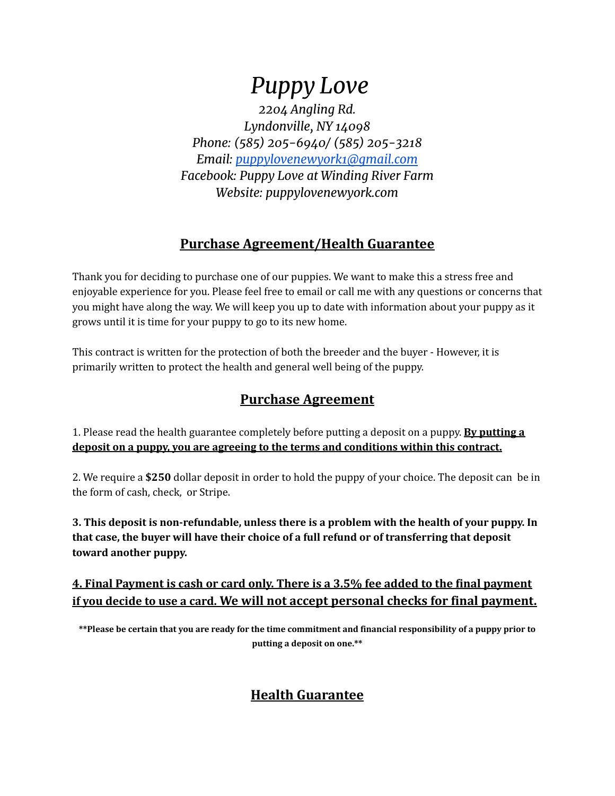# *Puppy Love*

*2204 Angling Rd. Lyndonville, NY 14098 Phone: (585) 205-6940/ (585) 205-3218 Email: [puppylovenewyork1@gmail.com](mailto:puppylovenewyork1@gmail.com) Facebook: Puppy Love at Winding River Farm Website: puppylovenewyork.com*

### **Purchase Agreement/Health Guarantee**

Thank you for deciding to purchase one of our puppies. We want to make this a stress free and enjoyable experience for you. Please feel free to email or call me with any questions or concerns that you might have along the way. We will keep you up to date with information about your puppy as it grows until it is time for your puppy to go to its new home.

This contract is written for the protection of both the breeder and the buyer - However, it is primarily written to protect the health and general well being of the puppy.

### **Purchase Agreement**

1. Please read the health guarantee completely before putting a deposit on a puppy. **By putting a deposit on a puppy, you are agreeing to the terms and conditions within this contract.**

2. We require a **\$250** dollar deposit in order to hold the puppy of your choice. The deposit can be in the form of cash, check, or Stripe.

**3. This deposit is non-refundable, unless there is a problem with the health of your puppy. In that case, the buyer will have their choice of a full refund or of transferring that deposit toward another puppy.**

**4. Final Payment is cash or card only. There is a 3.5% fee added to the final payment if you decide to use a card. We will not accept personal checks for final payment.**

**\*\*Please be certain that you are ready for the time commitment and financial responsibility of a puppy prior to putting a deposit on one.\*\***

## **Health Guarantee**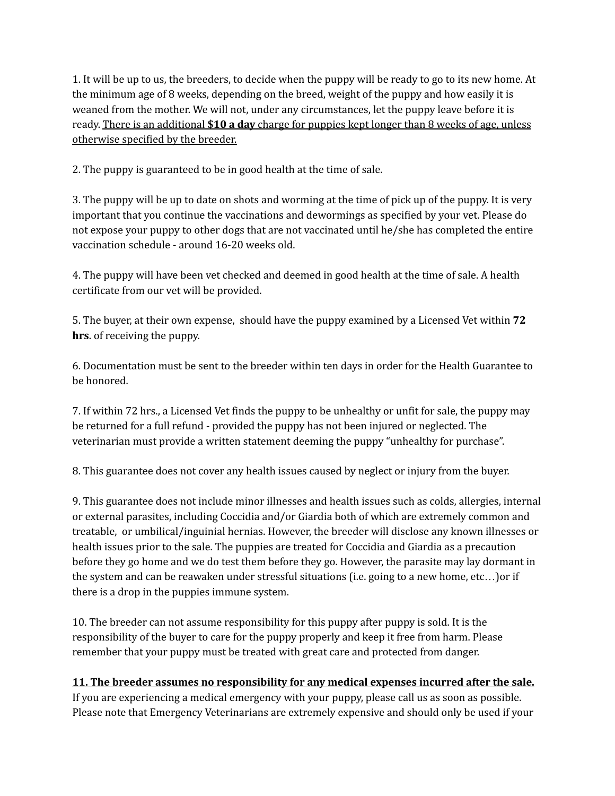1. It will be up to us, the breeders, to decide when the puppy will be ready to go to its new home. At the minimum age of 8 weeks, depending on the breed, weight of the puppy and how easily it is weaned from the mother. We will not, under any circumstances, let the puppy leave before it is ready. There is an additional **\$10 a day** charge for puppies kept longer than 8 weeks of age, unless otherwise specified by the breeder.

2. The puppy is guaranteed to be in good health at the time of sale.

3. The puppy will be up to date on shots and worming at the time of pick up of the puppy. It is very important that you continue the vaccinations and dewormings as specified by your vet. Please do not expose your puppy to other dogs that are not vaccinated until he/she has completed the entire vaccination schedule - around 16-20 weeks old.

4. The puppy will have been vet checked and deemed in good health at the time of sale. A health certificate from our vet will be provided.

5. The buyer, at their own expense, should have the puppy examined by a Licensed Vet within **72 hrs**. of receiving the puppy.

6. Documentation must be sent to the breeder within ten days in order for the Health Guarantee to be honored.

7. If within 72 hrs., a Licensed Vet finds the puppy to be unhealthy or unfit for sale, the puppy may be returned for a full refund - provided the puppy has not been injured or neglected. The veterinarian must provide a written statement deeming the puppy "unhealthy for purchase".

8. This guarantee does not cover any health issues caused by neglect or injury from the buyer.

9. This guarantee does not include minor illnesses and health issues such as colds, allergies, internal or external parasites, including Coccidia and/or Giardia both of which are extremely common and treatable, or umbilical/inguinial hernias. However, the breeder will disclose any known illnesses or health issues prior to the sale. The puppies are treated for Coccidia and Giardia as a precaution before they go home and we do test them before they go. However, the parasite may lay dormant in the system and can be reawaken under stressful situations (i.e. going to a new home, etc…)or if there is a drop in the puppies immune system.

10. The breeder can not assume responsibility for this puppy after puppy is sold. It is the responsibility of the buyer to care for the puppy properly and keep it free from harm. Please remember that your puppy must be treated with great care and protected from danger.

#### **11. The breeder assumes no responsibility for any medical expenses incurred after the sale.**

If you are experiencing a medical emergency with your puppy, please call us as soon as possible. Please note that Emergency Veterinarians are extremely expensive and should only be used if your